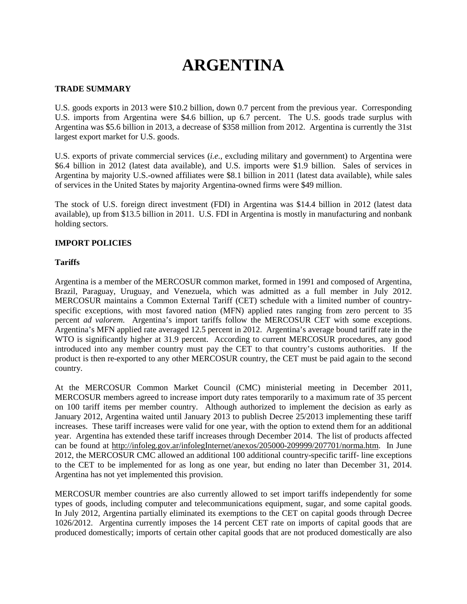# **ARGENTINA**

## **TRADE SUMMARY**

U.S. goods exports in 2013 were \$10.2 billion, down 0.7 percent from the previous year. Corresponding U.S. imports from Argentina were \$4.6 billion, up 6.7 percent. The U.S. goods trade surplus with Argentina was \$5.6 billion in 2013, a decrease of \$358 million from 2012. Argentina is currently the 31st largest export market for U.S. goods.

U.S. exports of private commercial services (*i.e.*, excluding military and government) to Argentina were \$6.4 billion in 2012 (latest data available), and U.S. imports were \$1.9 billion. Sales of services in Argentina by majority U.S.-owned affiliates were \$8.1 billion in 2011 (latest data available), while sales of services in the United States by majority Argentina-owned firms were \$49 million.

The stock of U.S. foreign direct investment (FDI) in Argentina was \$14.4 billion in 2012 (latest data available), up from \$13.5 billion in 2011. U.S. FDI in Argentina is mostly in manufacturing and nonbank holding sectors.

## **IMPORT POLICIES**

## **Tariffs**

Argentina is a member of the MERCOSUR common market, formed in 1991 and composed of Argentina, Brazil, Paraguay, Uruguay, and Venezuela, which was admitted as a full member in July 2012. MERCOSUR maintains a Common External Tariff (CET) schedule with a limited number of countryspecific exceptions, with most favored nation (MFN) applied rates ranging from zero percent to 35 percent *ad valorem*. Argentina's import tariffs follow the MERCOSUR CET with some exceptions. Argentina's MFN applied rate averaged 12.5 percent in 2012. Argentina's average bound tariff rate in the WTO is significantly higher at 31.9 percent. According to current MERCOSUR procedures, any good introduced into any member country must pay the CET to that country's customs authorities. If the product is then re-exported to any other MERCOSUR country, the CET must be paid again to the second country.

At the MERCOSUR Common Market Council (CMC) ministerial meeting in December 2011, MERCOSUR members agreed to increase import duty rates temporarily to a maximum rate of 35 percent on 100 tariff items per member country. Although authorized to implement the decision as early as January 2012, Argentina waited until January 2013 to publish Decree 25/2013 implementing these tariff increases. These tariff increases were valid for one year, with the option to extend them for an additional year. Argentina has extended these tariff increases through December 2014. The list of products affected can be found at [http://infoleg.gov.ar/infolegInternet/anexos/205000-209999/207701/norma.htm.](http://infoleg.gov.ar/infolegInternet/anexos/205000-209999/207701/norma.htm) In June 2012, the MERCOSUR CMC allowed an additional 100 additional country-specific tariff- line exceptions to the CET to be implemented for as long as one year, but ending no later than December 31, 2014. Argentina has not yet implemented this provision.

MERCOSUR member countries are also currently allowed to set import tariffs independently for some types of goods, including computer and telecommunications equipment, sugar, and some capital goods. In July 2012, Argentina partially eliminated its exemptions to the CET on capital goods through Decree 1026/2012. Argentina currently imposes the 14 percent CET rate on imports of capital goods that are produced domestically; imports of certain other capital goods that are not produced domestically are also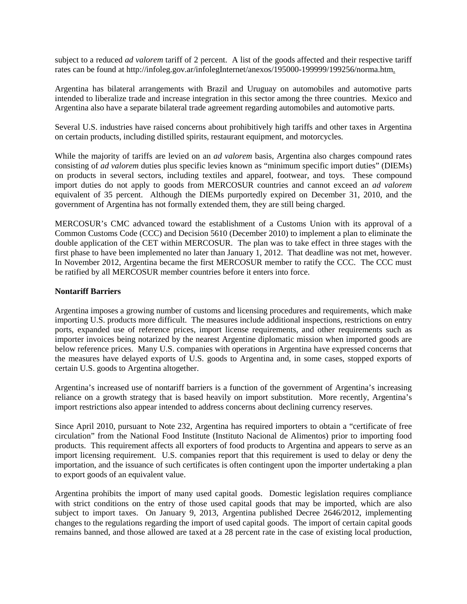subject to a reduced *ad valorem* tariff of 2 percent. A list of the goods affected and their respective tariff rates can be found at http://infoleg.gov.ar/infolegInternet/anexos/195000-199999/199256/norma.htm.

Argentina has bilateral arrangements with Brazil and Uruguay on automobiles and automotive parts intended to liberalize trade and increase integration in this sector among the three countries. Mexico and Argentina also have a separate bilateral trade agreement regarding automobiles and automotive parts.

Several U.S. industries have raised concerns about prohibitively high tariffs and other taxes in Argentina on certain products, including distilled spirits, restaurant equipment, and motorcycles.

While the majority of tariffs are levied on an *ad valorem* basis, Argentina also charges compound rates consisting of *ad valorem* duties plus specific levies known as "minimum specific import duties" (DIEMs) on products in several sectors, including textiles and apparel, footwear, and toys. These compound import duties do not apply to goods from MERCOSUR countries and cannot exceed an *ad valorem*  equivalent of 35 percent. Although the DIEMs purportedly expired on December 31, 2010, and the government of Argentina has not formally extended them, they are still being charged.

MERCOSUR's CMC advanced toward the establishment of a Customs Union with its approval of a Common Customs Code (CCC) and Decision 5610 (December 2010) to implement a plan to eliminate the double application of the CET within MERCOSUR. The plan was to take effect in three stages with the first phase to have been implemented no later than January 1, 2012. That deadline was not met, however. In November 2012, Argentina became the first MERCOSUR member to ratify the CCC. The CCC must be ratified by all MERCOSUR member countries before it enters into force.

## **Nontariff Barriers**

Argentina imposes a growing number of customs and licensing procedures and requirements, which make importing U.S. products more difficult. The measures include additional inspections, restrictions on entry ports, expanded use of reference prices, import license requirements, and other requirements such as importer invoices being notarized by the nearest Argentine diplomatic mission when imported goods are below reference prices. Many U.S. companies with operations in Argentina have expressed concerns that the measures have delayed exports of U.S. goods to Argentina and, in some cases, stopped exports of certain U.S. goods to Argentina altogether.

Argentina's increased use of nontariff barriers is a function of the government of Argentina's increasing reliance on a growth strategy that is based heavily on import substitution. More recently, Argentina's import restrictions also appear intended to address concerns about declining currency reserves.

Since April 2010, pursuant to Note 232, Argentina has required importers to obtain a "certificate of free circulation" from the National Food Institute (Instituto Nacional de Alimentos) prior to importing food products. This requirement affects all exporters of food products to Argentina and appears to serve as an import licensing requirement. U.S. companies report that this requirement is used to delay or deny the importation, and the issuance of such certificates is often contingent upon the importer undertaking a plan to export goods of an equivalent value.

Argentina prohibits the import of many used capital goods. Domestic legislation requires compliance with strict conditions on the entry of those used capital goods that may be imported, which are also subject to import taxes. On January 9, 2013, Argentina published Decree 2646/2012, implementing changes to the regulations regarding the import of used capital goods. The import of certain capital goods remains banned, and those allowed are taxed at a 28 percent rate in the case of existing local production,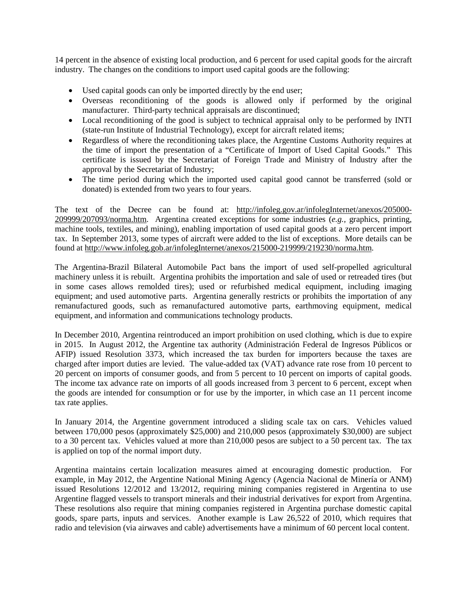14 percent in the absence of existing local production, and 6 percent for used capital goods for the aircraft industry. The changes on the conditions to import used capital goods are the following:

- Used capital goods can only be imported directly by the end user;
- Overseas reconditioning of the goods is allowed only if performed by the original manufacturer. Third-party technical appraisals are discontinued;
- Local reconditioning of the good is subject to technical appraisal only to be performed by INTI (state-run Institute of Industrial Technology), except for aircraft related items;
- Regardless of where the reconditioning takes place, the Argentine Customs Authority requires at the time of import the presentation of a "Certificate of Import of Used Capital Goods." This certificate is issued by the Secretariat of Foreign Trade and Ministry of Industry after the approval by the Secretariat of Industry;
- The time period during which the imported used capital good cannot be transferred (sold or donated) is extended from two years to four years.

The text of the Decree can be found at: [http://infoleg.gov.ar/infolegInternet/anexos/205000-](http://infoleg.gov.ar/infolegInternet/anexos/205000-209999/207093/norma.htm) [209999/207093/norma.htm.](http://infoleg.gov.ar/infolegInternet/anexos/205000-209999/207093/norma.htm) Argentina created exceptions for some industries (*e.g.,* graphics, printing, machine tools, textiles, and mining), enabling importation of used capital goods at a zero percent import tax. In September 2013, some types of aircraft were added to the list of exceptions. More details can be found at [http://www.infoleg.gob.ar/infolegInternet/anexos/215000-219999/219230/norma.htm.](http://www.infoleg.gob.ar/infolegInternet/anexos/215000-219999/219230/norma.htm)

The Argentina-Brazil Bilateral Automobile Pact bans the import of used self-propelled agricultural machinery unless it is rebuilt. Argentina prohibits the importation and sale of used or retreaded tires (but in some cases allows remolded tires); used or refurbished medical equipment, including imaging equipment; and used automotive parts. Argentina generally restricts or prohibits the importation of any remanufactured goods, such as remanufactured automotive parts, earthmoving equipment, medical equipment, and information and communications technology products.

In December 2010, Argentina reintroduced an import prohibition on used clothing, which is due to expire in 2015. In August 2012, the Argentine tax authority (Administración Federal de Ingresos Públicos or AFIP) issued Resolution 3373, which increased the tax burden for importers because the taxes are charged after import duties are levied. The value-added tax (VAT) advance rate rose from 10 percent to 20 percent on imports of consumer goods, and from 5 percent to 10 percent on imports of capital goods. The income tax advance rate on imports of all goods increased from 3 percent to 6 percent, except when the goods are intended for consumption or for use by the importer, in which case an 11 percent income tax rate applies.

In January 2014, the Argentine government introduced a sliding scale tax on cars. Vehicles valued between 170,000 pesos (approximately \$25,000) and 210,000 pesos (approximately \$30,000) are subject to a 30 percent tax. Vehicles valued at more than 210,000 pesos are subject to a 50 percent tax. The tax is applied on top of the normal import duty.

Argentina maintains certain localization measures aimed at encouraging domestic production. For example, in May 2012, the Argentine National Mining Agency (Agencia Nacional de Minería or ANM) issued Resolutions 12/2012 and 13/2012, requiring mining companies registered in Argentina to use Argentine flagged vessels to transport minerals and their industrial derivatives for export from Argentina. These resolutions also require that mining companies registered in Argentina purchase domestic capital goods, spare parts, inputs and services. Another example is Law 26,522 of 2010, which requires that radio and television (via airwaves and cable) advertisements have a minimum of 60 percent local content.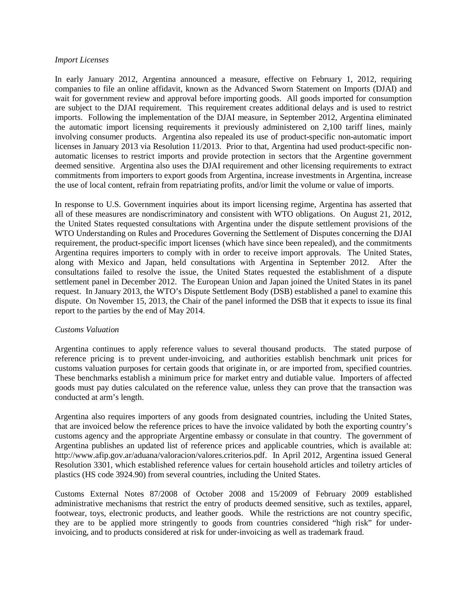#### *Import Licenses*

In early January 2012, Argentina announced a measure, effective on February 1, 2012, requiring companies to file an online affidavit, known as the Advanced Sworn Statement on Imports (DJAI) and wait for government review and approval before importing goods. All goods imported for consumption are subject to the DJAI requirement. This requirement creates additional delays and is used to restrict imports. Following the implementation of the DJAI measure, in September 2012, Argentina eliminated the automatic import licensing requirements it previously administered on 2,100 tariff lines, mainly involving consumer products. Argentina also repealed its use of product-specific non-automatic import licenses in January 2013 via Resolution 11/2013. Prior to that, Argentina had used product-specific nonautomatic licenses to restrict imports and provide protection in sectors that the Argentine government deemed sensitive. Argentina also uses the DJAI requirement and other licensing requirements to extract commitments from importers to export goods from Argentina, increase investments in Argentina, increase the use of local content, refrain from repatriating profits, and/or limit the volume or value of imports.

In response to U.S. Government inquiries about its import licensing regime, Argentina has asserted that all of these measures are nondiscriminatory and consistent with WTO obligations. On August 21, 2012, the United States requested consultations with Argentina under the dispute settlement provisions of the WTO Understanding on Rules and Procedures Governing the Settlement of Disputes concerning the DJAI requirement, the product-specific import licenses (which have since been repealed), and the commitments Argentina requires importers to comply with in order to receive import approvals. The United States, along with Mexico and Japan, held consultations with Argentina in September 2012. After the consultations failed to resolve the issue, the United States requested the establishment of a dispute settlement panel in December 2012. The European Union and Japan joined the United States in its panel request. In January 2013, the WTO's Dispute Settlement Body (DSB) established a panel to examine this dispute. On November 15, 2013, the Chair of the panel informed the DSB that it expects to issue its final report to the parties by the end of May 2014.

## *Customs Valuation*

Argentina continues to apply reference values to several thousand products. The stated purpose of reference pricing is to prevent under-invoicing, and authorities establish benchmark unit prices for customs valuation purposes for certain goods that originate in, or are imported from, specified countries. These benchmarks establish a minimum price for market entry and dutiable value. Importers of affected goods must pay duties calculated on the reference value, unless they can prove that the transaction was conducted at arm's length.

Argentina also requires importers of any goods from designated countries, including the United States, that are invoiced below the reference prices to have the invoice validated by both the exporting country's customs agency and the appropriate Argentine embassy or consulate in that country. The government of Argentina publishes an updated list of reference prices and applicable countries, which is available at: http://www.afip.gov.ar/aduana/valoracion/valores.criterios.pdf. In April 2012, Argentina issued General Resolution 3301, which established reference values for certain household articles and toiletry articles of plastics (HS code 3924.90) from several countries, including the United States.

Customs External Notes 87/2008 of October 2008 and 15/2009 of February 2009 established administrative mechanisms that restrict the entry of products deemed sensitive, such as textiles, apparel, footwear, toys, electronic products, and leather goods. While the restrictions are not country specific, they are to be applied more stringently to goods from countries considered "high risk" for underinvoicing, and to products considered at risk for under-invoicing as well as trademark fraud.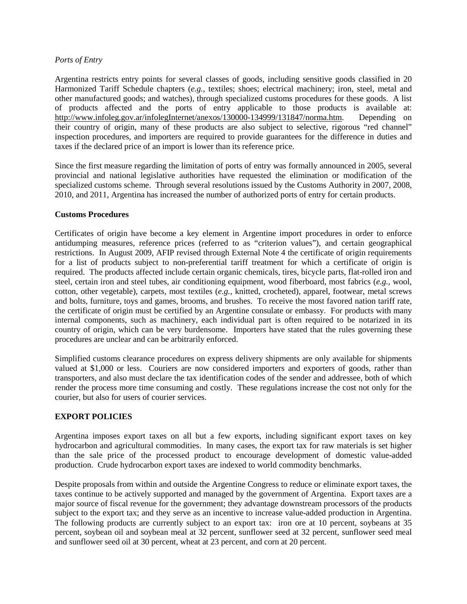## *Ports of Entry*

Argentina restricts entry points for several classes of goods, including sensitive goods classified in 20 Harmonized Tariff Schedule chapters (*e.g.,* textiles; shoes; electrical machinery; iron, steel, metal and other manufactured goods; and watches), through specialized customs procedures for these goods. A list of products affected and the ports of entry applicable to those products is available at:<br>http://www.infoleg.gov.ar/infolegInternet/anexos/130000-134999/131847/norma.htm. Depending on [http://www.infoleg.gov.ar/infolegInternet/anexos/130000-134999/131847/norma.htm.](http://www.infoleg.gov.ar/infolegInternet/anexos/130000-134999/131847/norma.htm) their country of origin, many of these products are also subject to selective, rigorous "red channel" inspection procedures, and importers are required to provide guarantees for the difference in duties and taxes if the declared price of an import is lower than its reference price.

Since the first measure regarding the limitation of ports of entry was formally announced in 2005, several provincial and national legislative authorities have requested the elimination or modification of the specialized customs scheme. Through several resolutions issued by the Customs Authority in 2007, 2008, 2010, and 2011, Argentina has increased the number of authorized ports of entry for certain products.

#### **Customs Procedures**

Certificates of origin have become a key element in Argentine import procedures in order to enforce antidumping measures, reference prices (referred to as "criterion values"), and certain geographical restrictions. In August 2009, AFIP revised through External Note 4 the certificate of origin requirements for a list of products subject to non-preferential tariff treatment for which a certificate of origin is required. The products affected include certain organic chemicals, tires, bicycle parts, flat-rolled iron and steel, certain iron and steel tubes, air conditioning equipment, wood fiberboard, most fabrics (*e.g.,* wool, cotton, other vegetable), carpets, most textiles (*e.g.,* knitted, crocheted), apparel, footwear, metal screws and bolts, furniture, toys and games, brooms, and brushes. To receive the most favored nation tariff rate, the certificate of origin must be certified by an Argentine consulate or embassy. For products with many internal components, such as machinery, each individual part is often required to be notarized in its country of origin, which can be very burdensome. Importers have stated that the rules governing these procedures are unclear and can be arbitrarily enforced.

Simplified customs clearance procedures on express delivery shipments are only available for shipments valued at \$1,000 or less. Couriers are now considered importers and exporters of goods, rather than transporters, and also must declare the tax identification codes of the sender and addressee, both of which render the process more time consuming and costly. These regulations increase the cost not only for the courier, but also for users of courier services.

## **EXPORT POLICIES**

Argentina imposes export taxes on all but a few exports, including significant export taxes on key hydrocarbon and agricultural commodities. In many cases, the export tax for raw materials is set higher than the sale price of the processed product to encourage development of domestic value-added production. Crude hydrocarbon export taxes are indexed to world commodity benchmarks.

Despite proposals from within and outside the Argentine Congress to reduce or eliminate export taxes, the taxes continue to be actively supported and managed by the government of Argentina. Export taxes are a major source of fiscal revenue for the government; they advantage downstream processors of the products subject to the export tax; and they serve as an incentive to increase value-added production in Argentina. The following products are currently subject to an export tax: iron ore at 10 percent, soybeans at 35 percent, soybean oil and soybean meal at 32 percent, sunflower seed at 32 percent, sunflower seed meal and sunflower seed oil at 30 percent, wheat at 23 percent, and corn at 20 percent.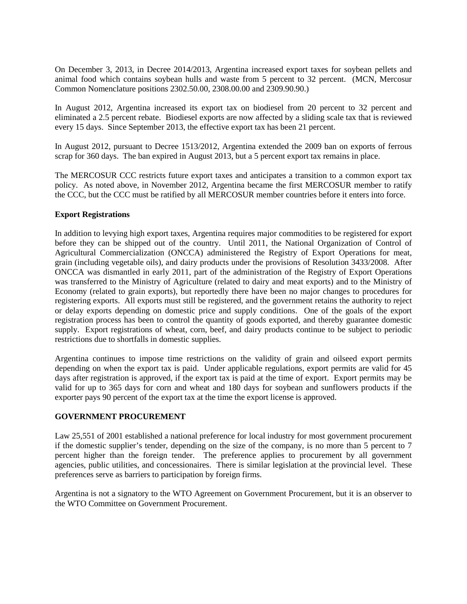On December 3, 2013, in Decree 2014/2013, Argentina increased export taxes for soybean pellets and animal food which contains soybean hulls and waste from 5 percent to 32 percent. (MCN, Mercosur Common Nomenclature positions 2302.50.00, 2308.00.00 and 2309.90.90.)

In August 2012, Argentina increased its export tax on biodiesel from 20 percent to 32 percent and eliminated a 2.5 percent rebate. Biodiesel exports are now affected by a sliding scale tax that is reviewed every 15 days. Since September 2013, the effective export tax has been 21 percent.

In August 2012, pursuant to Decree 1513/2012, Argentina extended the 2009 ban on exports of ferrous scrap for 360 days. The ban expired in August 2013, but a 5 percent export tax remains in place.

The MERCOSUR CCC restricts future export taxes and anticipates a transition to a common export tax policy. As noted above, in November 2012, Argentina became the first MERCOSUR member to ratify the CCC, but the CCC must be ratified by all MERCOSUR member countries before it enters into force.

## **Export Registrations**

In addition to levying high export taxes, Argentina requires major commodities to be registered for export before they can be shipped out of the country. Until 2011, the National Organization of Control of Agricultural Commercialization (ONCCA) administered the Registry of Export Operations for meat, grain (including vegetable oils), and dairy products under the provisions of Resolution 3433/2008. After ONCCA was dismantled in early 2011, part of the administration of the Registry of Export Operations was transferred to the Ministry of Agriculture (related to dairy and meat exports) and to the Ministry of Economy (related to grain exports), but reportedly there have been no major changes to procedures for registering exports. All exports must still be registered, and the government retains the authority to reject or delay exports depending on domestic price and supply conditions. One of the goals of the export registration process has been to control the quantity of goods exported, and thereby guarantee domestic supply. Export registrations of wheat, corn, beef, and dairy products continue to be subject to periodic restrictions due to shortfalls in domestic supplies.

Argentina continues to impose time restrictions on the validity of grain and oilseed export permits depending on when the export tax is paid. Under applicable regulations, export permits are valid for 45 days after registration is approved, if the export tax is paid at the time of export. Export permits may be valid for up to 365 days for corn and wheat and 180 days for soybean and sunflowers products if the exporter pays 90 percent of the export tax at the time the export license is approved.

## **GOVERNMENT PROCUREMENT**

Law 25,551 of 2001 established a national preference for local industry for most government procurement if the domestic supplier's tender, depending on the size of the company, is no more than 5 percent to 7 percent higher than the foreign tender. The preference applies to procurement by all government agencies, public utilities, and concessionaires. There is similar legislation at the provincial level. These preferences serve as barriers to participation by foreign firms.

Argentina is not a signatory to the WTO Agreement on Government Procurement, but it is an observer to the WTO Committee on Government Procurement.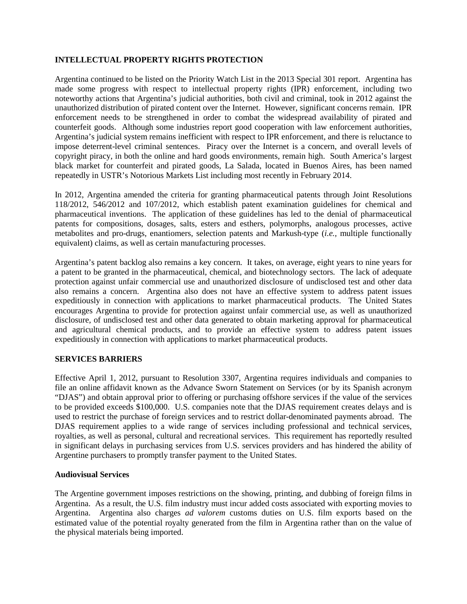## **INTELLECTUAL PROPERTY RIGHTS PROTECTION**

Argentina continued to be listed on the Priority Watch List in the 2013 Special 301 report. Argentina has made some progress with respect to intellectual property rights (IPR) enforcement, including two noteworthy actions that Argentina's judicial authorities, both civil and criminal, took in 2012 against the unauthorized distribution of pirated content over the Internet. However, significant concerns remain. IPR enforcement needs to be strengthened in order to combat the widespread availability of pirated and counterfeit goods. Although some industries report good cooperation with law enforcement authorities, Argentina's judicial system remains inefficient with respect to IPR enforcement, and there is reluctance to impose deterrent-level criminal sentences. Piracy over the Internet is a concern, and overall levels of copyright piracy, in both the online and hard goods environments, remain high. South America's largest black market for counterfeit and pirated goods, La Salada, located in Buenos Aires, has been named repeatedly in USTR's Notorious Markets List including most recently in February 2014.

In 2012, Argentina amended the criteria for granting pharmaceutical patents through Joint Resolutions 118/2012, 546/2012 and 107/2012, which establish patent examination guidelines for chemical and pharmaceutical inventions. The application of these guidelines has led to the denial of pharmaceutical patents for compositions, dosages, salts, esters and esthers, polymorphs, analogous processes, active metabolites and pro-drugs, enantiomers, selection patents and Markush-type (*i.e.,* multiple functionally equivalent) claims, as well as certain manufacturing processes.

Argentina's patent backlog also remains a key concern. It takes, on average, eight years to nine years for a patent to be granted in the pharmaceutical, chemical, and biotechnology sectors. The lack of adequate protection against unfair commercial use and unauthorized disclosure of undisclosed test and other data also remains a concern. Argentina also does not have an effective system to address patent issues expeditiously in connection with applications to market pharmaceutical products. The United States encourages Argentina to provide for protection against unfair commercial use, as well as unauthorized disclosure, of undisclosed test and other data generated to obtain marketing approval for pharmaceutical and agricultural chemical products, and to provide an effective system to address patent issues expeditiously in connection with applications to market pharmaceutical products.

# **SERVICES BARRIERS**

Effective April 1, 2012, pursuant to Resolution 3307, Argentina requires individuals and companies to file an online affidavit known as the Advance Sworn Statement on Services (or by its Spanish acronym "DJAS") and obtain approval prior to offering or purchasing offshore services if the value of the services to be provided exceeds \$100,000. U.S. companies note that the DJAS requirement creates delays and is used to restrict the purchase of foreign services and to restrict dollar-denominated payments abroad. The DJAS requirement applies to a wide range of services including professional and technical services, royalties, as well as personal, cultural and recreational services. This requirement has reportedly resulted in significant delays in purchasing services from U.S. services providers and has hindered the ability of Argentine purchasers to promptly transfer payment to the United States.

## **Audiovisual Services**

The Argentine government imposes restrictions on the showing, printing, and dubbing of foreign films in Argentina. As a result, the U.S. film industry must incur added costs associated with exporting movies to Argentina. Argentina also charges *ad valorem* customs duties on U.S. film exports based on the estimated value of the potential royalty generated from the film in Argentina rather than on the value of the physical materials being imported.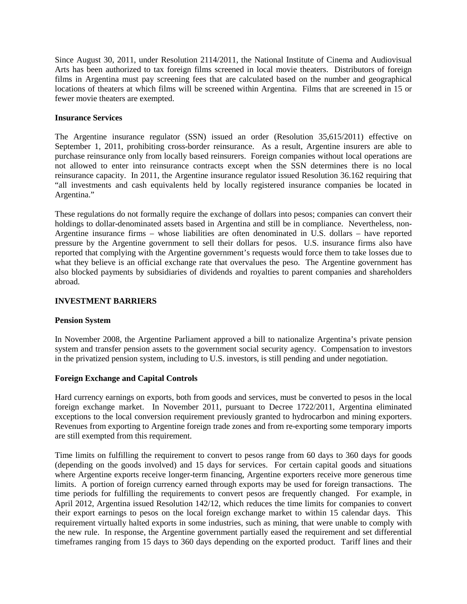Since August 30, 2011, under Resolution 2114/2011, the National Institute of Cinema and Audiovisual Arts has been authorized to tax foreign films screened in local movie theaters. Distributors of foreign films in Argentina must pay screening fees that are calculated based on the number and geographical locations of theaters at which films will be screened within Argentina. Films that are screened in 15 or fewer movie theaters are exempted.

## **Insurance Services**

The Argentine insurance regulator (SSN) issued an order (Resolution 35,615/2011) effective on September 1, 2011, prohibiting cross-border reinsurance. As a result, Argentine insurers are able to purchase reinsurance only from locally based reinsurers. Foreign companies without local operations are not allowed to enter into reinsurance contracts except when the SSN determines there is no local reinsurance capacity. In 2011, the Argentine insurance regulator issued Resolution 36.162 requiring that "all investments and cash equivalents held by locally registered insurance companies be located in Argentina."

These regulations do not formally require the exchange of dollars into pesos; companies can convert their holdings to dollar-denominated assets based in Argentina and still be in compliance. Nevertheless, non-Argentine insurance firms – whose liabilities are often denominated in U.S. dollars – have reported pressure by the Argentine government to sell their dollars for pesos. U.S. insurance firms also have reported that complying with the Argentine government's requests would force them to take losses due to what they believe is an official exchange rate that overvalues the peso. The Argentine government has also blocked payments by subsidiaries of dividends and royalties to parent companies and shareholders abroad.

#### **INVESTMENT BARRIERS**

## **Pension System**

In November 2008, the Argentine Parliament approved a bill to nationalize Argentina's private pension system and transfer pension assets to the government social security agency. Compensation to investors in the privatized pension system, including to U.S. investors, is still pending and under negotiation.

## **Foreign Exchange and Capital Controls**

Hard currency earnings on exports, both from goods and services, must be converted to pesos in the local foreign exchange market. In November 2011, pursuant to Decree 1722/2011, Argentina eliminated exceptions to the local conversion requirement previously granted to hydrocarbon and mining exporters. Revenues from exporting to Argentine foreign trade zones and from re-exporting some temporary imports are still exempted from this requirement.

Time limits on fulfilling the requirement to convert to pesos range from 60 days to 360 days for goods (depending on the goods involved) and 15 days for services. For certain capital goods and situations where Argentine exports receive longer-term financing, Argentine exporters receive more generous time limits. A portion of foreign currency earned through exports may be used for foreign transactions. The time periods for fulfilling the requirements to convert pesos are frequently changed. For example, in April 2012, Argentina issued Resolution 142/12, which reduces the time limits for companies to convert their export earnings to pesos on the local foreign exchange market to within 15 calendar days. This requirement virtually halted exports in some industries, such as mining, that were unable to comply with the new rule. In response, the Argentine government partially eased the requirement and set differential timeframes ranging from 15 days to 360 days depending on the exported product. Tariff lines and their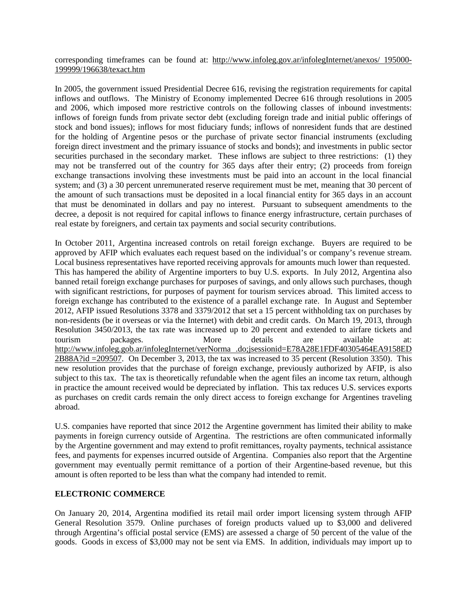corresponding timeframes can be found at: [http://www.infoleg.gov.ar/infolegInternet/anexos/ 195000-](http://www.infoleg.gov.ar/infolegInternet/anexos/%20195000-199999/196638/texact.htm) [199999/196638/texact.htm](http://www.infoleg.gov.ar/infolegInternet/anexos/%20195000-199999/196638/texact.htm)

In 2005, the government issued Presidential Decree 616, revising the registration requirements for capital inflows and outflows. The Ministry of Economy implemented Decree 616 through resolutions in 2005 and 2006, which imposed more restrictive controls on the following classes of inbound investments: inflows of foreign funds from private sector debt (excluding foreign trade and initial public offerings of stock and bond issues); inflows for most fiduciary funds; inflows of nonresident funds that are destined for the holding of Argentine pesos or the purchase of private sector financial instruments (excluding foreign direct investment and the primary issuance of stocks and bonds); and investments in public sector securities purchased in the secondary market. These inflows are subject to three restrictions: (1) they may not be transferred out of the country for 365 days after their entry; (2) proceeds from foreign exchange transactions involving these investments must be paid into an account in the local financial system; and (3) a 30 percent unremunerated reserve requirement must be met, meaning that 30 percent of the amount of such transactions must be deposited in a local financial entity for 365 days in an account that must be denominated in dollars and pay no interest. Pursuant to subsequent amendments to the decree, a deposit is not required for capital inflows to finance energy infrastructure, certain purchases of real estate by foreigners, and certain tax payments and social security contributions.

In October 2011, Argentina increased controls on retail foreign exchange. Buyers are required to be approved by AFIP which evaluates each request based on the individual's or company's revenue stream. Local business representatives have reported receiving approvals for amounts much lower than requested. This has hampered the ability of Argentine importers to buy U.S. exports. In July 2012, Argentina also banned retail foreign exchange purchases for purposes of savings, and only allows such purchases, though with significant restrictions, for purposes of payment for tourism services abroad. This limited access to foreign exchange has contributed to the existence of a parallel exchange rate. In August and September 2012, AFIP issued Resolutions 3378 and 3379/2012 that set a 15 percent withholding tax on purchases by non-residents (be it overseas or via the Internet) with debit and credit cards. On March 19, 2013, through Resolution 3450/2013, the tax rate was increased up to 20 percent and extended to airfare tickets and tourism packages. More details are available at: [http://www.infoleg.gob.ar/infolegInternet/verNorma .do;jsessionid=E78A28E1FDF40305464EA9158ED](http://www.infoleg.gob.ar/infolegInternet/verNorma%20.do;jsessionid=E78A28E1FDF40305464EA9158ED2B88A?id%20=209507) [2B88A?id =209507.](http://www.infoleg.gob.ar/infolegInternet/verNorma%20.do;jsessionid=E78A28E1FDF40305464EA9158ED2B88A?id%20=209507) On December 3, 2013, the tax was increased to 35 percent (Resolution 3350). This new resolution provides that the purchase of foreign exchange, previously authorized by AFIP, is also subject to this tax. The tax is theoretically refundable when the agent files an income tax return, although in practice the amount received would be depreciated by inflation. This tax reduces U.S. services exports as purchases on credit cards remain the only direct access to foreign exchange for Argentines traveling abroad.

U.S. companies have reported that since 2012 the Argentine government has limited their ability to make payments in foreign currency outside of Argentina. The restrictions are often communicated informally by the Argentine government and may extend to profit remittances, royalty payments, technical assistance fees, and payments for expenses incurred outside of Argentina. Companies also report that the Argentine government may eventually permit remittance of a portion of their Argentine-based revenue, but this amount is often reported to be less than what the company had intended to remit.

## **ELECTRONIC COMMERCE**

On January 20, 2014, Argentina modified its retail mail order import licensing system through AFIP General Resolution 3579. Online purchases of foreign products valued up to \$3,000 and delivered through Argentina's official postal service (EMS) are assessed a charge of 50 percent of the value of the goods. Goods in excess of \$3,000 may not be sent via EMS. In addition, individuals may import up to